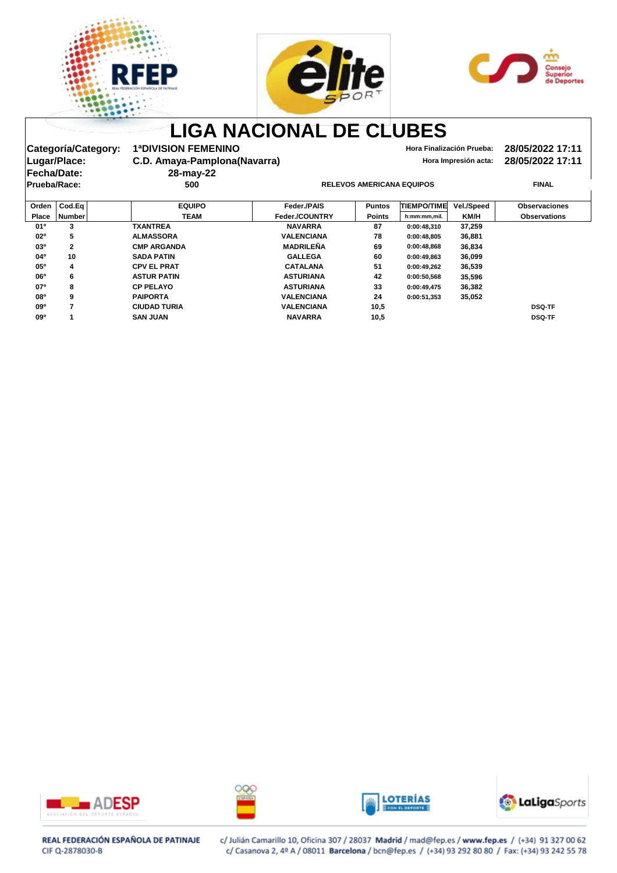





Categoría/Category: 1ªDIVISION FEMENINO<br>
Lugar/Place: C.D. Amaya-Pamplona(Navarra) **Hora Impresión acta: 28/05/2022 17:11 C.D. Amaya-Pamplona(Navarra) Hora Impresión acta: 28/05/2022 17:11**<br>28-may-22 **Prueba/Race: 500 RELEVOS AMERICANA EQUIPOS FINAL**

**Fecha/Date: 28-may-22**

| Orden           | $\textsf{CodEq}$ | <b>EQUIPO</b>       | <b>Feder /PAIS</b>    | <b>Puntos</b> | <b>TIEMPO/TIME</b> | <b>Vel./Speed</b> | <b>Observaciones</b> |
|-----------------|------------------|---------------------|-----------------------|---------------|--------------------|-------------------|----------------------|
| <b>Place</b>    | <b>Number</b>    | <b>TEAM</b>         | <b>Feder./COUNTRY</b> | <b>Points</b> | h:mm:mm,mil.       | <b>KM/H</b>       | <b>Observations</b>  |
| 01°             | 3                | <b>TXANTREA</b>     | <b>NAVARRA</b>        | 87            | 0:00:48.310        | 37,259            |                      |
| $02^{\circ}$    | 5                | <b>ALMASSORA</b>    | <b>VALENCIANA</b>     | 78            | 0:00:48.805        | 36,881            |                      |
| 03°             | $\overline{2}$   | <b>CMP ARGANDA</b>  | <b>MADRILEÑA</b>      | 69            | 0:00:48.868        | 36,834            |                      |
| 04°             | 10               | <b>SADA PATIN</b>   | <b>GALLEGA</b>        | 60            | 0:00:49,863        | 36,099            |                      |
| 05°             | 4                | <b>CPV EL PRAT</b>  | <b>CATALANA</b>       | 51            | 0:00:49,262        | 36,539            |                      |
| 06 <sup>o</sup> | 6                | <b>ASTUR PATIN</b>  | <b>ASTURIANA</b>      | 42            | 0:00:50.568        | 35,596            |                      |
| 07°             | 8                | <b>CP PELAYO</b>    | <b>ASTURIANA</b>      | 33            | 0:00:49.475        | 36,382            |                      |
| 080             | 9                | <b>PAIPORTA</b>     | <b>VALENCIANA</b>     | 24            | 0:00:51.353        | 35,052            |                      |
| $09^{\circ}$    |                  | <b>CIUDAD TURIA</b> | <b>VALENCIANA</b>     | 10,5          |                    |                   | <b>DSQ-TF</b>        |
| 09°             |                  | <b>SAN JUAN</b>     | <b>NAVARRA</b>        | 10,5          |                    |                   | <b>DSQ-TF</b>        |









### REAL FEDERACIÓN ESPAÑOLA DE PATINAJE CIF Q-2878030-B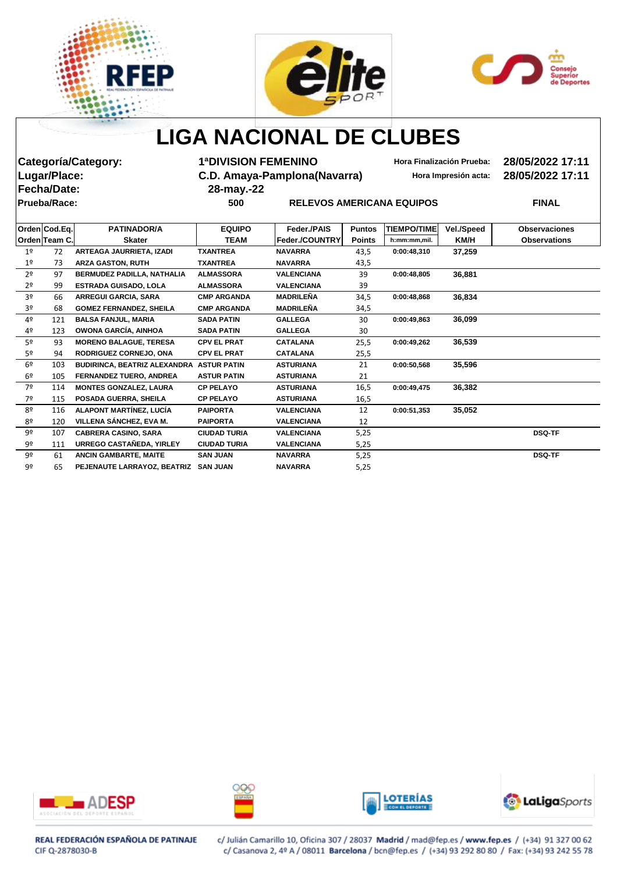





**Categoría/Category: 1ªDIVISION FEMENINO Hora Finalización Prueba: 28/05/2022 17:11 Lugar/Place: C.D. Amaya-Pamplona(Navarra) Hora Impresión acta: 28/05/2022 17:11 Fecha/Date: 28-may.-22 Prueba/Race: 500 RELEVOS AMERICANA EQUIPOS FINAL Orden Cod.Eq. PATINADOR/A EQUIPO Feder./PAIS Puntos TIEMPO/TIME Vel./Speed Observaciones Orden Team C. Skater TEAM Feder./COUNTRY Points h:mm:mm,mil. KM/H Observations** 1º 73 **ARZA GASTON, RUTH TXANTREA NAVARRA** 43,5

|                | UTUUTITUUTI VI | <b>Unutu</b>                             | .                   |                   | .    |             | .      | ONJUI TULIUIIJ |
|----------------|----------------|------------------------------------------|---------------------|-------------------|------|-------------|--------|----------------|
| 1 <sup>°</sup> | 72             | ARTEAGA JAURRIETA, IZADI                 | <b>TXANTREA</b>     | <b>NAVARRA</b>    | 43,5 | 0:00:48,310 | 37,259 |                |
| $1^{\circ}$    | 73             | <b>ARZA GASTON, RUTH</b>                 | <b>TXANTREA</b>     | <b>NAVARRA</b>    | 43,5 |             |        |                |
| 2 <sup>o</sup> | 97             | <b>BERMUDEZ PADILLA, NATHALIA</b>        | <b>ALMASSORA</b>    | <b>VALENCIANA</b> | 39   | 0:00:48,805 | 36,881 |                |
| 2 <sup>o</sup> | 99             | <b>ESTRADA GUISADO, LOLA</b>             | <b>ALMASSORA</b>    | <b>VALENCIANA</b> | 39   |             |        |                |
| 3º             | 66             | <b>ARREGUI GARCIA, SARA</b>              | <b>CMP ARGANDA</b>  | <b>MADRILEÑA</b>  | 34,5 | 0:00:48,868 | 36,834 |                |
| 3º             | 68             | <b>GOMEZ FERNANDEZ, SHEILA</b>           | <b>CMP ARGANDA</b>  | <b>MADRILEÑA</b>  | 34,5 |             |        |                |
| 4º             | 121            | <b>BALSA FANJUL, MARIA</b>               | <b>SADA PATIN</b>   | <b>GALLEGA</b>    | 30   | 0:00:49,863 | 36,099 |                |
| 4º             | 123            | OWONA GARCÍA, AINHOA                     | <b>SADA PATIN</b>   | <b>GALLEGA</b>    | 30   |             |        |                |
| 5º             | 93             | <b>MORENO BALAGUE, TERESA</b>            | <b>CPV EL PRAT</b>  | <b>CATALANA</b>   | 25,5 | 0:00:49,262 | 36,539 |                |
| 5º             | 94             | <b>RODRIGUEZ CORNEJO, ONA</b>            | <b>CPV EL PRAT</b>  | <b>CATALANA</b>   | 25,5 |             |        |                |
| 6º             | 103            | BUDIRINCA, BEATRIZ ALEXANDRA ASTUR PATIN |                     | <b>ASTURIANA</b>  | 21   | 0:00:50,568 | 35,596 |                |
| 6º             | 105            | <b>FERNANDEZ TUERO, ANDREA</b>           | <b>ASTUR PATIN</b>  | <b>ASTURIANA</b>  | 21   |             |        |                |
| 7º             | 114            | <b>MONTES GONZALEZ, LAURA</b>            | <b>CP PELAYO</b>    | <b>ASTURIANA</b>  | 16,5 | 0:00:49,475 | 36,382 |                |
| 7º             | 115            | POSADA GUERRA, SHEILA                    | <b>CP PELAYO</b>    | <b>ASTURIANA</b>  | 16,5 |             |        |                |
| 8º             | 116            | ALAPONT MARTÍNEZ, LUCÍA                  | <b>PAIPORTA</b>     | <b>VALENCIANA</b> | 12   | 0:00:51,353 | 35,052 |                |
| 8º             | 120            | VILLENA SÁNCHEZ, EVA M.                  | <b>PAIPORTA</b>     | <b>VALENCIANA</b> | 12   |             |        |                |
| 9º             | 107            | <b>CABRERA CASINO, SARA</b>              | <b>CIUDAD TURIA</b> | <b>VALENCIANA</b> | 5,25 |             |        | <b>DSQ-TF</b>  |
| 9º             | 111            | URREGO CASTAÑEDA, YIRLEY                 | <b>CIUDAD TURIA</b> | <b>VALENCIANA</b> | 5,25 |             |        |                |
| 9º             | 61             | <b>ANCIN GAMBARTE, MAITE</b>             | <b>SAN JUAN</b>     | <b>NAVARRA</b>    | 5,25 |             |        | <b>DSQ-TF</b>  |
| 92             | 65             | PEJENAUTE LARRAYOZ, BEATRIZ SAN JUAN     |                     | <b>NAVARRA</b>    | 5,25 |             |        |                |









REAL FEDERACIÓN ESPAÑOLA DE PATINAJE CIF Q-2878030-B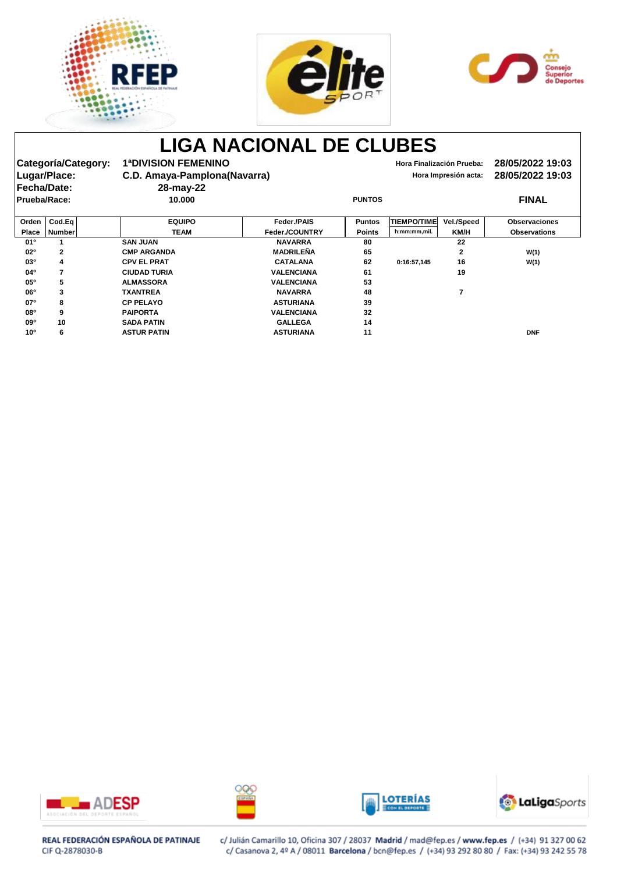





|                     | Categoría/Category:<br>Lugar/Place:<br><b>Fecha/Date:</b> | <b>1ªDIVISION FEMENINO</b><br>C.D. Amaya-Pamplona(Navarra)<br>28-may-22 |                       |               |                    | Hora Finalización Prueba:<br>Hora Impresión acta: | 28/05/2022 19:03<br>28/05/2022 19:03 |
|---------------------|-----------------------------------------------------------|-------------------------------------------------------------------------|-----------------------|---------------|--------------------|---------------------------------------------------|--------------------------------------|
| <b>Prueba/Race:</b> |                                                           | 10.000                                                                  |                       | <b>PUNTOS</b> |                    |                                                   | <b>FINAL</b>                         |
| Orden               | Cod.Eq                                                    | <b>EQUIPO</b>                                                           | <b>Feder /PAIS</b>    | <b>Puntos</b> | <b>TIEMPO/TIME</b> | <b>Vel./Speed</b>                                 | <b>Observaciones</b>                 |
| <b>Place</b>        | Number                                                    | <b>TEAM</b>                                                             | <b>Feder./COUNTRY</b> | <b>Points</b> | h:mm:mm,mil.       | KM/H                                              | <b>Observations</b>                  |
| 01 <sup>o</sup>     |                                                           | <b>SAN JUAN</b>                                                         | <b>NAVARRA</b>        | 80            |                    | 22                                                |                                      |
| 02°                 | 2                                                         | <b>CMP ARGANDA</b>                                                      | <b>MADRILEÑA</b>      | 65            |                    | $\mathbf{2}$                                      | W(1)                                 |
| 03 <sup>o</sup>     | 4                                                         | <b>CPV EL PRAT</b>                                                      | <b>CATALANA</b>       | 62            | 0:16:57,145        | 16                                                | W(1)                                 |
| 04°                 |                                                           | <b>CIUDAD TURIA</b>                                                     | <b>VALENCIANA</b>     | 61            |                    | 19                                                |                                      |
| 05°                 | 5                                                         | <b>ALMASSORA</b>                                                        | <b>VALENCIANA</b>     | 53            |                    |                                                   |                                      |
| 06 <sup>o</sup>     | 3                                                         | <b>TXANTREA</b>                                                         | <b>NAVARRA</b>        | 48            |                    |                                                   |                                      |
| 07 <sup>o</sup>     | 8                                                         | <b>CP PELAYO</b>                                                        | <b>ASTURIANA</b>      | 39            |                    |                                                   |                                      |
| <b>08°</b>          | 9                                                         | <b>PAIPORTA</b>                                                         | <b>VALENCIANA</b>     | 32            |                    |                                                   |                                      |
| 09 <sup>o</sup>     | 10                                                        | <b>SADA PATIN</b>                                                       | <b>GALLEGA</b>        | 14            |                    |                                                   |                                      |
| 10 <sup>o</sup>     | 6                                                         | <b>ASTUR PATIN</b>                                                      | <b>ASTURIANA</b>      | 11            |                    |                                                   | <b>DNF</b>                           |









### REAL FEDERACIÓN ESPAÑOLA DE PATINAJE CIF Q-2878030-B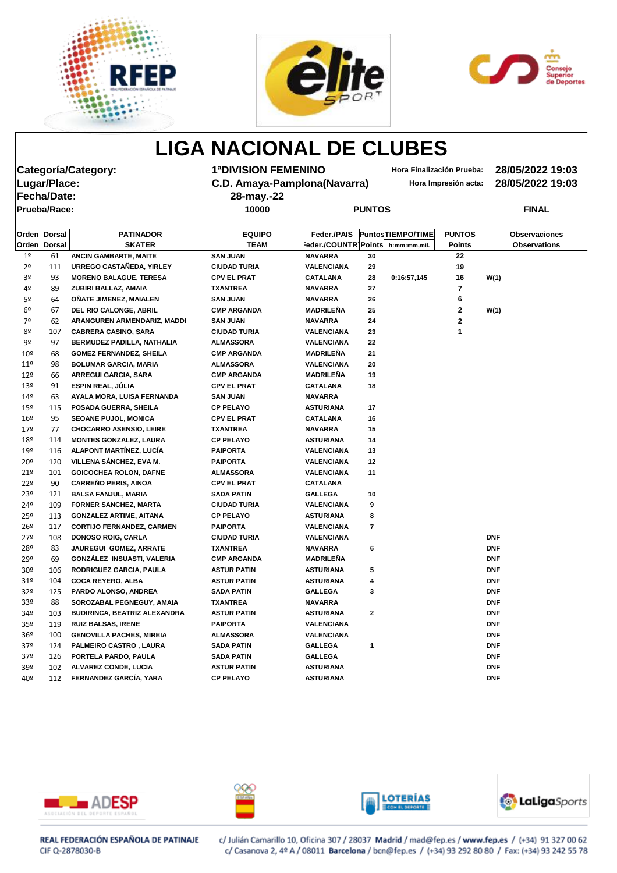





|                                |                     | <b>Categoría/Category:</b>          | <b>1ªDIVISION FEMENINO</b>   |                                          |               | Hora Finalización Prueba:          |                      | 28/05/2022 19:03     |
|--------------------------------|---------------------|-------------------------------------|------------------------------|------------------------------------------|---------------|------------------------------------|----------------------|----------------------|
|                                | Lugar/Place:        |                                     | C.D. Amaya-Pamplona(Navarra) |                                          |               |                                    | Hora Impresión acta: | 28/05/2022 19:03     |
|                                | <b>Fecha/Date:</b>  |                                     | 28-may.-22                   |                                          |               |                                    |                      |                      |
|                                | <b>Prueba/Race:</b> |                                     | 10000                        |                                          | <b>PUNTOS</b> |                                    |                      | <b>FINAL</b>         |
|                                |                     |                                     |                              |                                          |               |                                    |                      |                      |
|                                |                     |                                     |                              |                                          |               |                                    |                      |                      |
| <b>Orden</b> Dorsal            |                     | <b>PATINADOR</b><br><b>SKATER</b>   | <b>EQUIPO</b><br><b>TEAM</b> | Feder./PAIS                              |               | Puntos TIEMPO/TIME<br>h:mm:mm,mil. | <b>PUNTOS</b>        | <b>Observaciones</b> |
| <b>Orden</b><br>1 <sup>o</sup> | <b>Dorsal</b><br>61 | <b>ANCIN GAMBARTE, MAITE</b>        | <b>SAN JUAN</b>              | Feder./COUNTR   Points<br><b>NAVARRA</b> | 30            |                                    | <b>Points</b><br>22  | <b>Observations</b>  |
| 2 <sup>o</sup>                 | 111                 | URREGO CASTAÑEDA, YIRLEY            | <b>CIUDAD TURIA</b>          | <b>VALENCIANA</b>                        | 29            |                                    | 19                   |                      |
| 3º                             | 93                  | <b>MORENO BALAGUE, TERESA</b>       | <b>CPV EL PRAT</b>           | <b>CATALANA</b>                          | 28            | 0:16:57,145                        | 16                   | W(1)                 |
| 4º                             | 89                  | ZUBIRI BALLAZ, AMAIA                | <b>TXANTREA</b>              | <b>NAVARRA</b>                           | 27            |                                    | 7                    |                      |
| 5º                             | 64                  | OÑATE JIMENEZ, MAIALEN              | <b>SAN JUAN</b>              | <b>NAVARRA</b>                           | 26            |                                    | 6                    |                      |
| 6 <sup>2</sup>                 | 67                  | DEL RIO CALONGE, ABRIL              | <b>CMP ARGANDA</b>           | <b>MADRILEÑA</b>                         | 25            |                                    | 2                    | W(1)                 |
| 7º                             | 62                  | ARANGUREN ARMENDARIZ, MADDI         | <b>SAN JUAN</b>              | <b>NAVARRA</b>                           | 24            |                                    | $\mathbf 2$          |                      |
| 8º                             | 107                 | <b>CABRERA CASINO, SARA</b>         | <b>CIUDAD TURIA</b>          | <b>VALENCIANA</b>                        | 23            |                                    | 1                    |                      |
| 9º                             | 97                  | <b>BERMUDEZ PADILLA, NATHALIA</b>   | <b>ALMASSORA</b>             | <b>VALENCIANA</b>                        | 22            |                                    |                      |                      |
| 10 <sup>°</sup>                | 68                  | <b>GOMEZ FERNANDEZ, SHEILA</b>      | <b>CMP ARGANDA</b>           | <b>MADRILEÑA</b>                         | 21            |                                    |                      |                      |
| 11 <sup>°</sup>                | 98                  | <b>BOLUMAR GARCIA, MARIA</b>        | <b>ALMASSORA</b>             | <b>VALENCIANA</b>                        | 20            |                                    |                      |                      |
| $12^{\circ}$                   | 66                  | <b>ARREGUI GARCIA, SARA</b>         | <b>CMP ARGANDA</b>           | <b>MADRILEÑA</b>                         | 19            |                                    |                      |                      |
| 13 <sup>°</sup>                | 91                  | <b>ESPIN REAL, JÚLIA</b>            | <b>CPV EL PRAT</b>           | <b>CATALANA</b>                          | 18            |                                    |                      |                      |
| 149                            | 63                  | AYALA MORA, LUISA FERNANDA          | <b>SAN JUAN</b>              | <b>NAVARRA</b>                           |               |                                    |                      |                      |
| 15 <sup>°</sup>                | 115                 | POSADA GUERRA, SHEILA               | <b>CP PELAYO</b>             | <b>ASTURIANA</b>                         | 17            |                                    |                      |                      |
| 16 <sup>°</sup>                | 95                  | <b>SEOANE PUJOL, MONICA</b>         | <b>CPV EL PRAT</b>           | <b>CATALANA</b>                          | 16            |                                    |                      |                      |
| 179                            | 77                  | <b>CHOCARRO ASENSIO, LEIRE</b>      | <b>TXANTREA</b>              | <b>NAVARRA</b>                           | 15            |                                    |                      |                      |
| 18º                            | 114                 | <b>MONTES GONZALEZ, LAURA</b>       | <b>CP PELAYO</b>             | <b>ASTURIANA</b>                         | 14            |                                    |                      |                      |
| 19º                            | 116                 | <b>ALAPONT MARTÍNEZ, LUCÍA</b>      | <b>PAIPORTA</b>              | <b>VALENCIANA</b>                        | 13            |                                    |                      |                      |
| 20º                            | 120                 | VILLENA SÁNCHEZ, EVA M.             | <b>PAIPORTA</b>              | <b>VALENCIANA</b>                        | 12            |                                    |                      |                      |
| 21°                            | 101                 | <b>GOICOCHEA ROLON, DAFNE</b>       | <b>ALMASSORA</b>             | <b>VALENCIANA</b>                        | 11            |                                    |                      |                      |
| 22°                            | 90                  | <b>CARREÑO PERIS, AINOA</b>         | <b>CPV EL PRAT</b>           | <b>CATALANA</b>                          |               |                                    |                      |                      |
| 23º                            | 121                 | <b>BALSA FANJUL, MARIA</b>          | <b>SADA PATIN</b>            | <b>GALLEGA</b>                           | 10            |                                    |                      |                      |
| 24 <sup>°</sup>                | 109                 | <b>FORNER SANCHEZ, MARTA</b>        | <b>CIUDAD TURIA</b>          | <b>VALENCIANA</b>                        | 9             |                                    |                      |                      |
| $25^{\circ}$                   | 113                 | <b>GONZALEZ ARTIME, AITANA</b>      | <b>CP PELAYO</b>             | <b>ASTURIANA</b>                         | 8             |                                    |                      |                      |
| 26 <sup>°</sup>                | 117                 | <b>CORTIJO FERNANDEZ, CARMEN</b>    | <b>PAIPORTA</b>              | <b>VALENCIANA</b>                        | 7             |                                    |                      |                      |
| 27°                            | 108                 | <b>DONOSO ROIG, CARLA</b>           | <b>CIUDAD TURIA</b>          | <b>VALENCIANA</b>                        |               |                                    |                      | <b>DNF</b>           |
| 28º                            | 83                  | JAUREGUI GOMEZ, ARRATE              | <b>TXANTREA</b>              | <b>NAVARRA</b>                           | 6             |                                    |                      | <b>DNF</b>           |
| 29º                            | 69                  | GONZÁLEZ INSUASTI, VALERIA          | <b>CMP ARGANDA</b>           | MADRILEÑA                                |               |                                    |                      | <b>DNF</b>           |
| 30 <sup>o</sup>                | 106                 | RODRIGUEZ GARCIA, PAULA             | <b>ASTUR PATIN</b>           | <b>ASTURIANA</b>                         | 5             |                                    |                      | <b>DNF</b>           |
| 31 <sup>°</sup>                | 104                 | <b>COCA REYERO, ALBA</b>            | <b>ASTUR PATIN</b>           | <b>ASTURIANA</b>                         | 4             |                                    |                      | <b>DNF</b>           |
| 32 <sup>o</sup>                | 125                 | PARDO ALONSO, ANDREA                | <b>SADA PATIN</b>            | <b>GALLEGA</b>                           | 3             |                                    |                      | <b>DNF</b>           |
| 33º                            | 88                  | SOROZABAL PEGNEGUY, AMAIA           | <b>TXANTREA</b>              | <b>NAVARRA</b>                           |               |                                    |                      | <b>DNF</b>           |
| 34º                            | 103                 | <b>BUDIRINCA, BEATRIZ ALEXANDRA</b> | <b>ASTUR PATIN</b>           | <b>ASTURIANA</b>                         | $\mathbf{2}$  |                                    |                      | <b>DNF</b>           |
| 35º                            | 119                 | <b>RUIZ BALSAS, IRENE</b>           | <b>PAIPORTA</b>              | <b>VALENCIANA</b>                        |               |                                    |                      | <b>DNF</b>           |
| 36 <sup>°</sup>                | 100                 | <b>GENOVILLA PACHES, MIREIA</b>     | <b>ALMASSORA</b>             | <b>VALENCIANA</b>                        |               |                                    |                      | <b>DNF</b>           |
| 37º                            | 124                 | PALMEIRO CASTRO, LAURA              | <b>SADA PATIN</b>            | <b>GALLEGA</b>                           | 1             |                                    |                      | <b>DNF</b>           |
| 37º                            | 126                 | PORTELA PARDO, PAULA                | SADA PATIN                   | <b>GALLEGA</b>                           |               |                                    |                      | DNF                  |
| 39º                            | 102                 | ALVAREZ CONDE, LUCIA                | <b>ASTUR PATIN</b>           | <b>ASTURIANA</b>                         |               |                                    |                      | <b>DNF</b>           |



### REAL FEDERACIÓN ESPAÑOLA DE PATINAJE CIF Q-2878030-B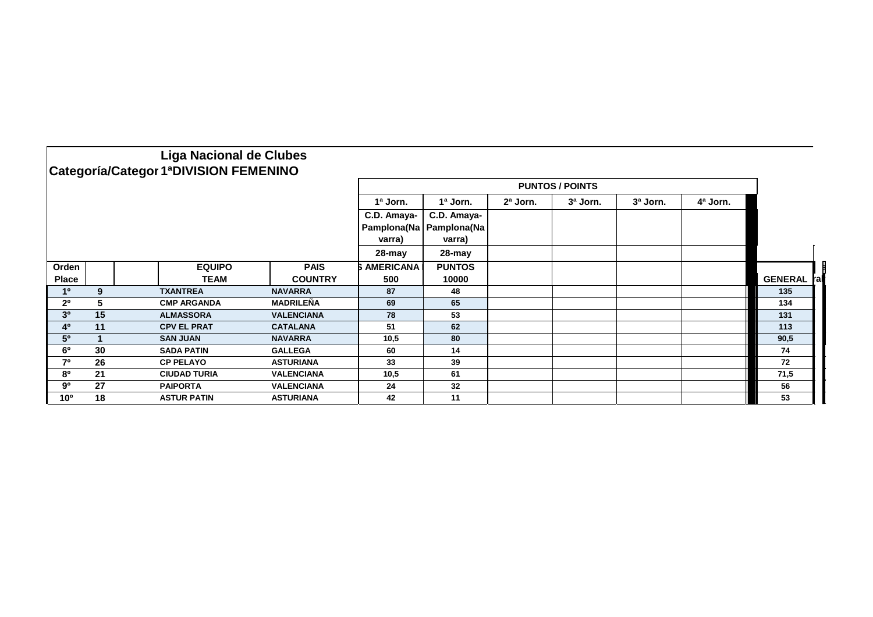|                 |    | <b>Liga Nacional de Clubes</b>        |                   |                                      |                                      |          |                        |          |          |                |             |
|-----------------|----|---------------------------------------|-------------------|--------------------------------------|--------------------------------------|----------|------------------------|----------|----------|----------------|-------------|
|                 |    | Categoría/Categor 1ªDIVISION FEMENINO |                   |                                      |                                      |          |                        |          |          |                |             |
|                 |    |                                       |                   |                                      |                                      |          | <b>PUNTOS / POINTS</b> |          |          |                |             |
|                 |    |                                       |                   | 1ª Jorn.                             | 1ª Jorn.                             | 2ª Jorn. | 3ª Jorn.               | 3ª Jorn. | 4ª Jorn. |                |             |
|                 |    |                                       |                   | C.D. Amaya-<br>Pamplona(Na<br>varra) | C.D. Amaya-<br>Pamplona(Na<br>varra) |          |                        |          |          |                |             |
|                 |    |                                       |                   | $28 - may$                           | $28 - may$                           |          |                        |          |          |                |             |
| Orden           |    | <b>EQUIPO</b>                         | <b>PAIS</b>       | <b>AMERICANA</b>                     | <b>PUNTOS</b>                        |          |                        |          |          |                |             |
| <b>Place</b>    |    | <b>TEAM</b>                           | <b>COUNTRY</b>    | 500                                  | 10000                                |          |                        |          |          | <b>GENERAL</b> | <b>r</b> al |
| 1 <sup>0</sup>  | 9  | <b>TXANTREA</b>                       | <b>NAVARRA</b>    | 87                                   | 48                                   |          |                        |          |          | 135            |             |
| 2º              | 5  | <b>CMP ARGANDA</b>                    | <b>MADRILEÑA</b>  | 69                                   | 65                                   |          |                        |          |          | 134            |             |
| 3 <sup>0</sup>  | 15 | <b>ALMASSORA</b>                      | <b>VALENCIANA</b> | 78                                   | 53                                   |          |                        |          |          | 131            |             |
| 40              | 11 | <b>CPV EL PRAT</b>                    | <b>CATALANA</b>   | 51                                   | 62                                   |          |                        |          |          | 113            |             |
| 5 <sup>0</sup>  |    | <b>SAN JUAN</b>                       | <b>NAVARRA</b>    | 10,5                                 | 80                                   |          |                        |          |          | 90,5           |             |
| 6 <sup>o</sup>  | 30 | <b>SADA PATIN</b>                     | <b>GALLEGA</b>    | 60                                   | 14                                   |          |                        |          |          | 74             |             |
| 70              | 26 | <b>CP PELAYO</b>                      | <b>ASTURIANA</b>  | 33                                   | 39                                   |          |                        |          |          | 72             |             |
| 80              | 21 | <b>CIUDAD TURIA</b>                   | <b>VALENCIANA</b> | 10,5                                 | 61                                   |          |                        |          |          | 71,5           |             |
| 90              | 27 | <b>PAIPORTA</b>                       | <b>VALENCIANA</b> | 24                                   | 32                                   |          |                        |          |          | 56             |             |
| 10 <sup>o</sup> | 18 | <b>ASTUR PATIN</b>                    | <b>ASTURIANA</b>  | 42                                   | 11                                   |          |                        |          |          | 53             |             |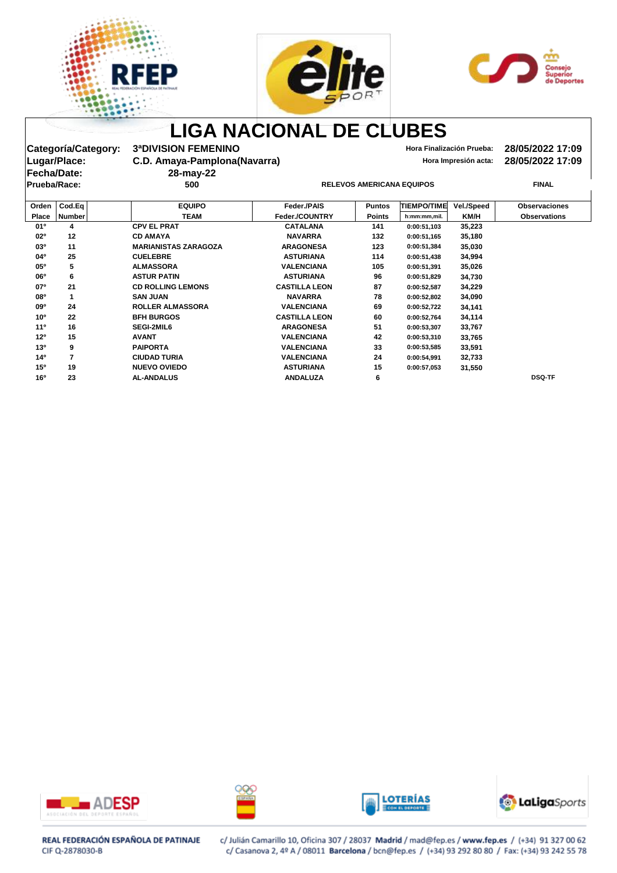





Categoría/Category: 3ªDIVISION FEMENINO<br>Lugar/Place: C.D. Amaya-Pamplona(Navarra) **Hora Impresión acta:** 28/05/2022 17:09 **C.D. Amaya-Pamplona(Navarra) C.D. Amaya-Pamplona(Navarra) Hora Impresión acta: 28/05/2022 17:09 Prueba/Race: 500 RELEVOS AMERICANA EQUIPOS FINAL**

**Fecha/Date: 28-may-22**

| Orden           | $\textsf{CodEq}\vert$ | <b>EQUIPO</b>               | <b>Feder /PAIS</b>   | <b>Puntos</b> | <b>TIEMPO/TIME</b> | <b>Vel./Speed</b> | <b>Observaciones</b> |
|-----------------|-----------------------|-----------------------------|----------------------|---------------|--------------------|-------------------|----------------------|
| <b>Place</b>    | <b>Number</b>         | <b>TEAM</b>                 | Feder./COUNTRY       | <b>Points</b> | h:mm:mm,mil.       | KM/H              | <b>Observations</b>  |
| 01 <sup>o</sup> | 4                     | <b>CPV EL PRAT</b>          | <b>CATALANA</b>      | 141           | 0:00:51,103        | 35,223            |                      |
| $02^{\circ}$    | 12                    | <b>CD AMAYA</b>             | <b>NAVARRA</b>       | 132           | 0:00:51,165        | 35,180            |                      |
| 03 <sup>o</sup> | 11                    | <b>MARIANISTAS ZARAGOZA</b> | <b>ARAGONESA</b>     | 123           | 0:00:51,384        | 35,030            |                      |
| 04°             | 25                    | <b>CUELEBRE</b>             | <b>ASTURIANA</b>     | 114           | 0:00:51,438        | 34,994            |                      |
| 05°             | 5                     | <b>ALMASSORA</b>            | <b>VALENCIANA</b>    | 105           | 0:00:51,391        | 35,026            |                      |
| 06 <sup>o</sup> | 6                     | <b>ASTUR PATIN</b>          | <b>ASTURIANA</b>     | 96            | 0:00:51,829        | 34,730            |                      |
| 07°             | 21                    | <b>CD ROLLING LEMONS</b>    | <b>CASTILLA LEON</b> | 87            | 0:00:52,587        | 34,229            |                      |
| <b>08°</b>      |                       | <b>SAN JUAN</b>             | <b>NAVARRA</b>       | 78            | 0:00:52,802        | 34,090            |                      |
| 09 <sup>o</sup> | 24                    | <b>ROLLER ALMASSORA</b>     | <b>VALENCIANA</b>    | 69            | 0:00:52,722        | 34,141            |                      |
| 10 <sup>o</sup> | 22                    | <b>BFH BURGOS</b>           | <b>CASTILLA LEON</b> | 60            | 0:00:52,764        | 34,114            |                      |
| 11 <sup>0</sup> | 16                    | <b>SEGI-2MIL6</b>           | <b>ARAGONESA</b>     | 51            | 0:00:53,307        | 33,767            |                      |
| 12 <sup>o</sup> | 15                    | <b>AVANT</b>                | <b>VALENCIANA</b>    | 42            | 0:00:53,310        | 33,765            |                      |
| 13 <sup>0</sup> | 9                     | <b>PAIPORTA</b>             | <b>VALENCIANA</b>    | 33            | 0:00:53,585        | 33,591            |                      |
| $14^{\circ}$    |                       | <b>CIUDAD TURIA</b>         | <b>VALENCIANA</b>    | 24            | 0:00:54,991        | 32,733            |                      |
| 15 <sup>o</sup> | 19                    | <b>NUEVO OVIEDO</b>         | <b>ASTURIANA</b>     | 15            | 0:00:57,053        | 31,550            |                      |
| 16 <sup>o</sup> | 23                    | <b>AL-ANDALUS</b>           | <b>ANDALUZA</b>      | 6             |                    |                   | <b>DSQ-TF</b>        |









### REAL FEDERACIÓN ESPAÑOLA DE PATINAJE CIF Q-2878030-B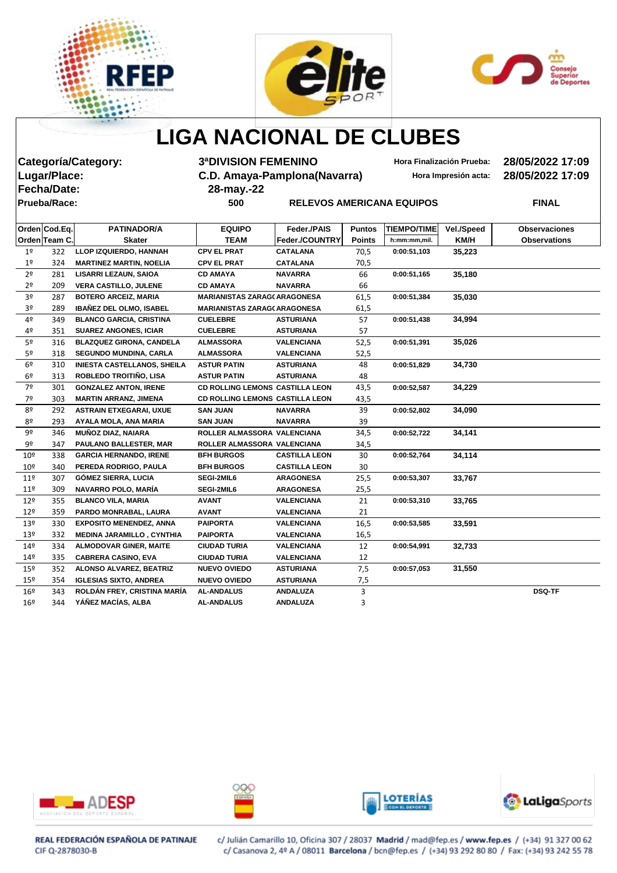





|                 |               | <b>Categoría/Category:</b>         | <b>3ªDIVISION FEMENINO</b>             |                       |               |                                  | Hora Finalización Prueba: | 28/05/2022 17:09     |
|-----------------|---------------|------------------------------------|----------------------------------------|-----------------------|---------------|----------------------------------|---------------------------|----------------------|
|                 | Lugar/Place:  |                                    | C.D. Amaya-Pamplona(Navarra)           |                       |               |                                  | Hora Impresión acta:      | 28/05/2022 17:09     |
|                 | Fecha/Date:   |                                    | 28-may.-22                             |                       |               |                                  |                           |                      |
|                 | Prueba/Race:  |                                    | 500                                    |                       |               | <b>RELEVOS AMERICANA EQUIPOS</b> |                           | <b>FINAL</b>         |
|                 |               |                                    |                                        |                       |               |                                  |                           |                      |
|                 |               |                                    |                                        |                       |               |                                  |                           |                      |
|                 | Orden Cod.Eq. | <b>PATINADOR/A</b>                 | <b>EQUIPO</b>                          | Feder./PAIS           | <b>Puntos</b> | <b>TIEMPO/TIME</b>               | Vel./Speed                | <b>Observaciones</b> |
|                 | Orden Team C. | <b>Skater</b>                      | <b>TEAM</b>                            | <b>Feder./COUNTRY</b> | <b>Points</b> | h:mm:mm,mil.                     | KM/H                      | <b>Observations</b>  |
| 1 <sup>°</sup>  | 322           | LLOP IZQUIERDO, HANNAH             | <b>CPV EL PRAT</b>                     | <b>CATALANA</b>       | 70,5          | 0:00:51,103                      | 35,223                    |                      |
| 1 <sup>o</sup>  | 324           | <b>MARTINEZ MARTIN, NOELIA</b>     | <b>CPV EL PRAT</b>                     | <b>CATALANA</b>       | 70,5          |                                  |                           |                      |
| 2 <sup>o</sup>  | 281           | <b>LISARRI LEZAUN, SAIOA</b>       | <b>CD AMAYA</b>                        | <b>NAVARRA</b>        | 66            | 0:00:51,165                      | 35,180                    |                      |
| 2º              | 209           | <b>VERA CASTILLO, JULENE</b>       | <b>CD AMAYA</b>                        | <b>NAVARRA</b>        | 66            |                                  |                           |                      |
| 3 <sup>o</sup>  | 287           | <b>BOTERO ARCEIZ, MARIA</b>        | <b>MARIANISTAS ZARAG( ARAGONESA</b>    |                       | 61,5          | 0:00:51,384                      | 35,030                    |                      |
| 3 <sup>o</sup>  | 289           | <b>IBAÑEZ DEL OLMO, ISABEL</b>     | <b>MARIANISTAS ZARAG( ARAGONESA</b>    |                       | 61,5          |                                  |                           |                      |
| 4º              | 349           | <b>BLANCO GARCIA, CRISTINA</b>     | <b>CUELEBRE</b>                        | <b>ASTURIANA</b>      | 57            | 0:00:51,438                      | 34,994                    |                      |
| 4º              | 351           | <b>SUAREZ ANGONES, ICIAR</b>       | <b>CUELEBRE</b>                        | <b>ASTURIANA</b>      | 57            |                                  |                           |                      |
| 5 <sup>o</sup>  | 316           | <b>BLAZQUEZ GIRONA, CANDELA</b>    | <b>ALMASSORA</b>                       | <b>VALENCIANA</b>     | 52,5          | 0:00:51,391                      | 35,026                    |                      |
| 5 <sup>o</sup>  | 318           | SEGUNDO MUNDINA, CARLA             | <b>ALMASSORA</b>                       | <b>VALENCIANA</b>     | 52,5          |                                  |                           |                      |
| 6 <sup>9</sup>  | 310           | <b>INIESTA CASTELLANOS, SHEILA</b> | <b>ASTUR PATIN</b>                     | <b>ASTURIANA</b>      | 48            | 0:00:51,829                      | 34,730                    |                      |
| 6 <sup>o</sup>  | 313           | ROBLEDO TROITIÑO, LISA             | <b>ASTUR PATIN</b>                     | <b>ASTURIANA</b>      | 48            |                                  |                           |                      |
| 7º              | 301           | <b>GONZALEZ ANTON, IRENE</b>       | CD ROLLING LEMONS CASTILLA LEON        |                       | 43,5          | 0:00:52,587                      | 34,229                    |                      |
| 7º              | 303           | <b>MARTIN ARRANZ, JIMENA</b>       | <b>CD ROLLING LEMONS CASTILLA LEON</b> |                       | 43,5          |                                  |                           |                      |
| 8º              | 292           | <b>ASTRAIN ETXEGARAI, UXUE</b>     | <b>SAN JUAN</b>                        | <b>NAVARRA</b>        | 39            | 0:00:52,802                      | 34,090                    |                      |
| 8º              | 293           | AYALA MOLA, ANA MARIA              | <b>SAN JUAN</b>                        | <b>NAVARRA</b>        | 39            |                                  |                           |                      |
| 9º              | 346           | <b>MUÑOZ DIAZ, NAIARA</b>          | ROLLER ALMASSORA VALENCIANA            |                       | 34,5          | 0:00:52,722                      | 34,141                    |                      |
| 9º              | 347           | PAULANO BALLESTER, MAR             | ROLLER ALMASSORA VALENCIANA            |                       | 34,5          |                                  |                           |                      |
| 10 <sup>°</sup> | 338           | <b>GARCIA HERNANDO, IRENE</b>      | <b>BFH BURGOS</b>                      | <b>CASTILLA LEON</b>  | 30            | 0:00:52,764                      | 34,114                    |                      |
| 10 <sup>°</sup> | 340           | PEREDA RODRIGO, PAULA              | <b>BFH BURGOS</b>                      | <b>CASTILLA LEON</b>  | 30            |                                  |                           |                      |
| 11 <sup>°</sup> | 307           | GÓMEZ SIERRA, LUCIA                | SEGI-2MIL6                             | <b>ARAGONESA</b>      | 25,5          | 0:00:53,307                      | 33,767                    |                      |
| 11 <sup>°</sup> | 309           | <b>NAVARRO POLO, MARÍA</b>         | SEGI-2MIL6                             | <b>ARAGONESA</b>      | 25,5          |                                  |                           |                      |
| 12 <sup>°</sup> | 355           | <b>BLANCO VILA, MARIA</b>          | <b>AVANT</b>                           | <b>VALENCIANA</b>     | 21            | 0:00:53,310                      | 33,765                    |                      |
| 12 <sup>°</sup> | 359           | PARDO MONRABAL, LAURA              | <b>AVANT</b>                           | <b>VALENCIANA</b>     | 21            |                                  |                           |                      |
| 13 <sup>°</sup> | 330           | <b>EXPOSITO MENENDEZ, ANNA</b>     | <b>PAIPORTA</b>                        | <b>VALENCIANA</b>     | 16,5          | 0:00:53,585                      | 33,591                    |                      |
| 13 <sup>°</sup> | 332           | <b>MEDINA JARAMILLO, CYNTHIA</b>   | <b>PAIPORTA</b>                        | <b>VALENCIANA</b>     | 16,5          |                                  |                           |                      |
| $14^{\circ}$    | 334           | <b>ALMODOVAR GINER, MAITE</b>      | <b>CIUDAD TURIA</b>                    | <b>VALENCIANA</b>     | 12            | 0:00:54,991                      | 32,733                    |                      |
| 14 <sup>°</sup> | 335           | <b>CABRERA CASINO, EVA</b>         | <b>CIUDAD TURIA</b>                    | <b>VALENCIANA</b>     | 12            |                                  |                           |                      |
| $15^{\circ}$    | 352           | ALONSO ALVAREZ, BEATRIZ            | <b>NUEVO OVIEDO</b>                    | <b>ASTURIANA</b>      | 7,5           | 0:00:57,053                      | 31,550                    |                      |
| 15 <sup>°</sup> | 354           | <b>IGLESIAS SIXTO, ANDREA</b>      | <b>NUEVO OVIEDO</b>                    | <b>ASTURIANA</b>      | 7,5           |                                  |                           |                      |
| 16 <sup>°</sup> | 343           | ROLDÁN FREY, CRISTINA MARÍA        | <b>AL-ANDALUS</b>                      | <b>ANDALUZA</b>       | 3             |                                  |                           | <b>DSQ-TF</b>        |
| 16 <sup>°</sup> | 344           | YÁÑEZ MACÍAS, ALBA                 | <b>AL-ANDALUS</b>                      | <b>ANDALUZA</b>       | 3             |                                  |                           |                      |









REAL FEDERACIÓN ESPAÑOLA DE PATINAJE CIF Q-2878030-B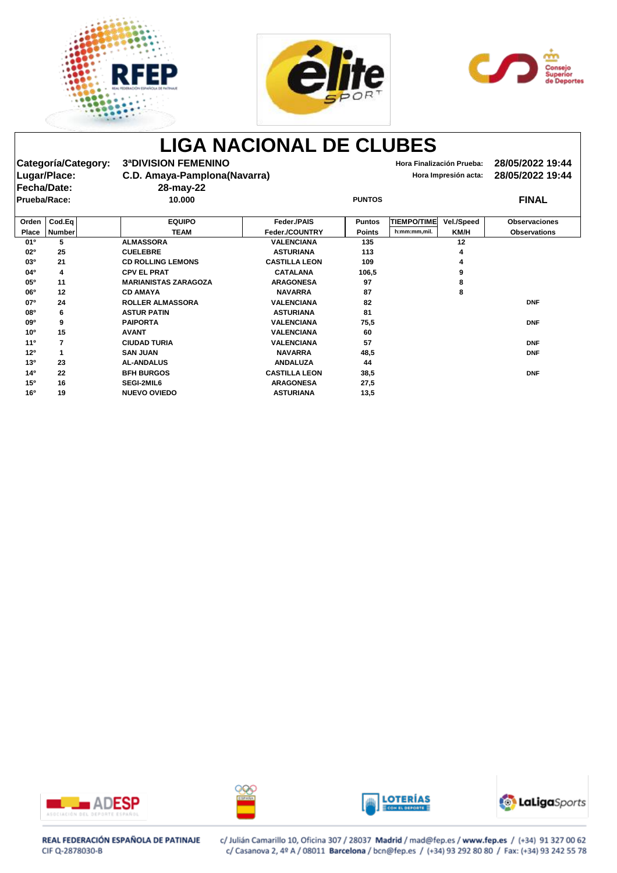





|                     | Categoría/Category: | <b>3ªDIVISION FEMENINO</b>   |                      |               |                    | Hora Finalización Prueba: | 28/05/2022 19:44     |
|---------------------|---------------------|------------------------------|----------------------|---------------|--------------------|---------------------------|----------------------|
|                     | Lugar/Place:        | C.D. Amaya-Pamplona(Navarra) |                      |               |                    | Hora Impresión acta:      | 28/05/2022 19:44     |
| <b>Fecha/Date:</b>  |                     | 28-may-22                    |                      |               |                    |                           |                      |
| <b>Prueba/Race:</b> |                     | 10.000                       |                      | <b>PUNTOS</b> |                    |                           | <b>FINAL</b>         |
|                     |                     |                              |                      |               |                    |                           |                      |
| Orden               | Cod.Eq              | <b>EQUIPO</b>                | Feder./PAIS          | <b>Puntos</b> | <b>TIEMPO/TIME</b> | <b>Vel./Speed</b>         | <b>Observaciones</b> |
| <b>Place</b>        | <b>Number</b>       | <b>TEAM</b>                  | Feder./COUNTRY       | <b>Points</b> | h:mm:mm,mil.       | KM/H                      | <b>Observations</b>  |
| 01º                 | 5                   | <b>ALMASSORA</b>             | <b>VALENCIANA</b>    | 135           |                    | 12                        |                      |
| 02 <sup>o</sup>     | 25                  | <b>CUELEBRE</b>              | <b>ASTURIANA</b>     | 113           |                    |                           |                      |
| 03°                 | 21                  | <b>CD ROLLING LEMONS</b>     | <b>CASTILLA LEON</b> | 109           |                    |                           |                      |
| 04°                 | 4                   | <b>CPV EL PRAT</b>           | <b>CATALANA</b>      | 106,5         |                    |                           |                      |
| 05 <sup>o</sup>     | 11                  | <b>MARIANISTAS ZARAGOZA</b>  | <b>ARAGONESA</b>     | 97            |                    | 8                         |                      |
| 06 <sup>o</sup>     | 12                  | <b>CD AMAYA</b>              | <b>NAVARRA</b>       | 87            |                    | 8                         |                      |
| 07°                 | 24                  | <b>ROLLER ALMASSORA</b>      | <b>VALENCIANA</b>    | 82            |                    |                           | <b>DNF</b>           |
| 08 <sup>o</sup>     | 6                   | <b>ASTUR PATIN</b>           | <b>ASTURIANA</b>     | 81            |                    |                           |                      |
| 09 <sup>o</sup>     | 9                   | <b>PAIPORTA</b>              | <b>VALENCIANA</b>    | 75,5          |                    |                           | <b>DNF</b>           |
| 10 <sup>o</sup>     | 15                  | <b>AVANT</b>                 | <b>VALENCIANA</b>    | 60            |                    |                           |                      |
| 11 <sup>0</sup>     | $\overline{7}$      | <b>CIUDAD TURIA</b>          | <b>VALENCIANA</b>    | 57            |                    |                           | <b>DNF</b>           |
| 12 <sup>o</sup>     | 1                   | <b>SAN JUAN</b>              | <b>NAVARRA</b>       | 48,5          |                    |                           | <b>DNF</b>           |
| 13 <sup>0</sup>     | 23                  | <b>AL-ANDALUS</b>            | <b>ANDALUZA</b>      | 44            |                    |                           |                      |
| 14 <sup>0</sup>     | 22                  | <b>BFH BURGOS</b>            | <b>CASTILLA LEON</b> | 38,5          |                    |                           | <b>DNF</b>           |
| 15°                 | 16                  | SEGI-2MIL6                   | <b>ARAGONESA</b>     | 27,5          |                    |                           |                      |
| 16 <sup>o</sup>     | 19                  | <b>NUEVO OVIEDO</b>          | <b>ASTURIANA</b>     | 13,5          |                    |                           |                      |









### REAL FEDERACIÓN ESPAÑOLA DE PATINAJE CIF Q-2878030-B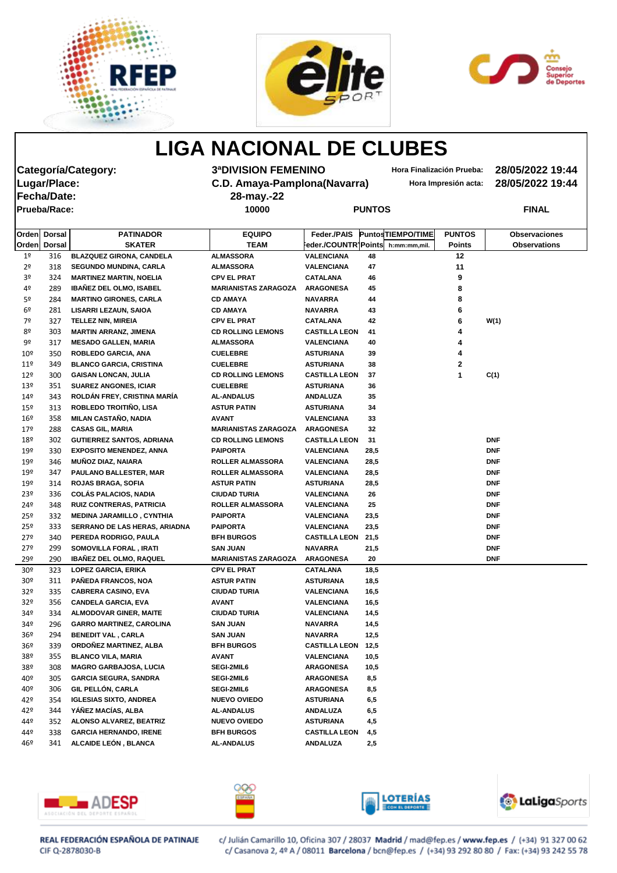





|                                |                     | <b>Categoría/Category:</b>        | <b>3ªDIVISION FEMENINO</b>   |                                    |               | Hora Finalización Prueba:                |                      |            | 28/05/2022 19:44                            |
|--------------------------------|---------------------|-----------------------------------|------------------------------|------------------------------------|---------------|------------------------------------------|----------------------|------------|---------------------------------------------|
|                                | Lugar/Place:        |                                   | C.D. Amaya-Pamplona(Navarra) |                                    |               |                                          | Hora Impresión acta: |            | 28/05/2022 19:44                            |
|                                | <b>Fecha/Date:</b>  |                                   | 28-may.-22                   |                                    |               |                                          |                      |            |                                             |
|                                | <b>Prueba/Race:</b> |                                   | 10000                        |                                    | <b>PUNTOS</b> |                                          |                      |            | <b>FINAL</b>                                |
|                                |                     |                                   |                              |                                    |               |                                          |                      |            |                                             |
|                                |                     |                                   |                              |                                    |               |                                          | <b>PUNTOS</b>        |            |                                             |
| Orden Dorsal                   |                     | <b>PATINADOR</b><br><b>SKATER</b> | <b>EQUIPO</b><br><b>TEAM</b> | Feder./PAIS<br>eder./COUNTR\Points |               | <b>PuntosTIEMPO/TIME</b><br>h:mm:mm,mil. |                      |            | <b>Observaciones</b><br><b>Observations</b> |
| Orden Dorsal<br>1 <sup>o</sup> | 316                 | <b>BLAZQUEZ GIRONA, CANDELA</b>   | <b>ALMASSORA</b>             | <b>VALENCIANA</b>                  | 48            |                                          | <b>Points</b><br>12  |            |                                             |
| 2 <sup>o</sup>                 | 318                 | <b>SEGUNDO MUNDINA, CARLA</b>     | <b>ALMASSORA</b>             | <b>VALENCIANA</b>                  | 47            |                                          | 11                   |            |                                             |
| 3 <sup>o</sup>                 | 324                 | <b>MARTINEZ MARTIN, NOELIA</b>    | <b>CPV EL PRAT</b>           | <b>CATALANA</b>                    | 46            |                                          | 9                    |            |                                             |
| 4º                             | 289                 | <b>IBAÑEZ DEL OLMO, ISABEL</b>    | <b>MARIANISTAS ZARAGOZA</b>  | <b>ARAGONESA</b>                   | 45            |                                          | 8                    |            |                                             |
| 5º                             | 284                 | <b>MARTINO GIRONES, CARLA</b>     | <b>CD AMAYA</b>              | <b>NAVARRA</b>                     | 44            |                                          | 8                    |            |                                             |
| 6 <sup>9</sup>                 | 281                 | <b>LISARRI LEZAUN, SAIOA</b>      | <b>CD AMAYA</b>              | <b>NAVARRA</b>                     | 43            |                                          | 6                    |            |                                             |
| 7º                             | 327                 | <b>TELLEZ NIN, MIREIA</b>         | <b>CPV EL PRAT</b>           | <b>CATALANA</b>                    | 42            |                                          | 6                    | W(1)       |                                             |
| 8º                             | 303                 | <b>MARTIN ARRANZ, JIMENA</b>      | <b>CD ROLLING LEMONS</b>     | <b>CASTILLA LEON</b>               | 41            |                                          | 4                    |            |                                             |
| 9º                             | 317                 | <b>MESADO GALLEN, MARIA</b>       | <b>ALMASSORA</b>             | <b>VALENCIANA</b>                  | 40            |                                          |                      |            |                                             |
| 10 <sup>°</sup>                | 350                 | ROBLEDO GARCIA, ANA               | <b>CUELEBRE</b>              | <b>ASTURIANA</b>                   | 39            |                                          | 4                    |            |                                             |
| $11^{\circ}$                   | 349                 | <b>BLANCO GARCIA, CRISTINA</b>    | <b>CUELEBRE</b>              | <b>ASTURIANA</b>                   | 38            |                                          | 2                    |            |                                             |
| $12^{\circ}$                   | 300                 | <b>GAISAN LONCAN, JULIA</b>       | <b>CD ROLLING LEMONS</b>     | <b>CASTILLA LEON</b>               | 37            |                                          | 1                    | C(1)       |                                             |
| 13º                            | 351                 | <b>SUAREZ ANGONES, ICIAR</b>      | <b>CUELEBRE</b>              | <b>ASTURIANA</b>                   | 36            |                                          |                      |            |                                             |
| 149                            | 343                 | ROLDÁN FREY, CRISTINA MARÍA       | <b>AL-ANDALUS</b>            | <b>ANDALUZA</b>                    | 35            |                                          |                      |            |                                             |
| 15º                            | 313                 | ROBLEDO TROITIÑO, LISA            | <b>ASTUR PATIN</b>           | <b>ASTURIANA</b>                   | 34            |                                          |                      |            |                                             |
| 16 <sup>°</sup>                | 358                 | <b>MILAN CASTAÑO, NADIA</b>       | <b>AVANT</b>                 | <b>VALENCIANA</b>                  | 33            |                                          |                      |            |                                             |
| $17^{\circ}$                   | 288                 | <b>CASAS GIL, MARIA</b>           | <b>MARIANISTAS ZARAGOZA</b>  | <b>ARAGONESA</b>                   | 32            |                                          |                      |            |                                             |
| 18º                            | 302                 | <b>GUTIERREZ SANTOS, ADRIANA</b>  | <b>CD ROLLING LEMONS</b>     | <b>CASTILLA LEON</b>               | 31            |                                          |                      | <b>DNF</b> |                                             |
| 19º                            | 330                 | <b>EXPOSITO MENENDEZ, ANNA</b>    | <b>PAIPORTA</b>              | <b>VALENCIANA</b>                  | 28,5          |                                          |                      | <b>DNF</b> |                                             |
| 19º                            | 346                 | <b>MUÑOZ DIAZ, NAIARA</b>         | <b>ROLLER ALMASSORA</b>      | <b>VALENCIANA</b>                  | 28,5          |                                          |                      | <b>DNF</b> |                                             |
| 19º                            | 347                 | PAULANO BALLESTER, MAR            | ROLLER ALMASSORA             | <b>VALENCIANA</b>                  | 28,5          |                                          |                      | <b>DNF</b> |                                             |
| 19º                            | 314                 | <b>ROJAS BRAGA, SOFIA</b>         | <b>ASTUR PATIN</b>           | <b>ASTURIANA</b>                   | 28,5          |                                          |                      | <b>DNF</b> |                                             |
| 23º                            | 336                 | <b>COLÁS PALACIOS, NADIA</b>      | <b>CIUDAD TURIA</b>          | <b>VALENCIANA</b>                  | 26            |                                          |                      | <b>DNF</b> |                                             |
| 24 <sup>°</sup>                | 348                 | <b>RUIZ CONTRERAS, PATRICIA</b>   | ROLLER ALMASSORA             | <b>VALENCIANA</b>                  | 25            |                                          |                      | <b>DNF</b> |                                             |
| 25 <sup>°</sup>                | 332                 | <b>MEDINA JARAMILLO, CYNTHIA</b>  | <b>PAIPORTA</b>              | <b>VALENCIANA</b>                  | 23,5          |                                          |                      | <b>DNF</b> |                                             |
| 25 <sup>°</sup>                | 333                 | SERRANO DE LAS HERAS, ARIADNA     | <b>PAIPORTA</b>              | <b>VALENCIANA</b>                  | 23,5          |                                          |                      | <b>DNF</b> |                                             |
| 27°                            | 340                 | PEREDA RODRIGO, PAULA             | <b>BFH BURGOS</b>            | <b>CASTILLA LEON</b>               | 21,5          |                                          |                      | <b>DNF</b> |                                             |
| 27°                            | 299                 | SOMOVILLA FORAL, IRATI            | <b>SAN JUAN</b>              | <b>NAVARRA</b>                     | 21,5          |                                          |                      | <b>DNF</b> |                                             |
| 29º                            | 290                 | <b>IBAÑEZ DEL OLMO, RAQUEL</b>    | <b>MARIANISTAS ZARAGOZA</b>  | <b>ARAGONESA</b>                   | 20            |                                          |                      | <b>DNF</b> |                                             |
| 30 <sup>°</sup>                | 323                 | <b>LOPEZ GARCIA, ERIKA</b>        | <b>CPV EL PRAT</b>           | <b>CATALANA</b>                    | 18,5          |                                          |                      |            |                                             |
| 30 <sup>°</sup>                | 311                 | PAÑEDA FRANCOS, NOA               | <b>ASTUR PATIN</b>           | <b>ASTURIANA</b>                   | 18,5          |                                          |                      |            |                                             |
| 32 <sup>o</sup>                | 335                 | <b>CABRERA CASINO, EVA</b>        | <b>CIUDAD TURIA</b>          | <b>VALENCIANA</b>                  | 16,5          |                                          |                      |            |                                             |
| 32 <sup>o</sup>                | 356                 | <b>CANDELA GARCIA, EVA</b>        | <b>AVANT</b>                 | <b>VALENCIANA</b>                  | 16,5          |                                          |                      |            |                                             |
| 34º                            | 334                 | <b>ALMODOVAR GINER, MAITE</b>     | <b>CIUDAD TURIA</b>          | <b>VALENCIANA</b>                  | 14,5          |                                          |                      |            |                                             |
| 34º                            | 296                 | <b>GARRO MARTINEZ, CAROLINA</b>   | <b>SAN JUAN</b>              | <b>NAVARRA</b>                     | 14,5          |                                          |                      |            |                                             |
| 36 <sup>°</sup>                | 294                 | <b>BENEDIT VAL, CARLA</b>         | <b>SAN JUAN</b>              | <b>NAVARRA</b>                     | 12,5          |                                          |                      |            |                                             |
| 36 <sup>°</sup>                | 339                 | ORDOÑEZ MARTINEZ, ALBA            | <b>BFH BURGOS</b>            | <b>CASTILLA LEON</b>               | 12,5          |                                          |                      |            |                                             |
| 38º                            | 355                 | <b>BLANCO VILA, MARIA</b>         | <b>AVANT</b>                 | <b>VALENCIANA</b>                  | 10,5          |                                          |                      |            |                                             |
| 38º                            | 308                 | <b>MAGRO GARBAJOSA, LUCIA</b>     | SEGI-2MIL6                   | <b>ARAGONESA</b>                   | 10,5          |                                          |                      |            |                                             |
| 40º                            | 305                 | <b>GARCIA SEGURA, SANDRA</b>      | <b>SEGI-2MIL6</b>            | <b>ARAGONESA</b>                   | 8,5           |                                          |                      |            |                                             |
| 40º                            | 306                 | GIL PELLÓN, CARLA                 | <b>SEGI-2MIL6</b>            | <b>ARAGONESA</b>                   | 8,5           |                                          |                      |            |                                             |
| 42º                            | 354                 | <b>IGLESIAS SIXTO, ANDREA</b>     | <b>NUEVO OVIEDO</b>          | <b>ASTURIANA</b>                   | 6,5           |                                          |                      |            |                                             |
| 42°                            | 344                 | YÁÑEZ MACÍAS, ALBA                | <b>AL-ANDALUS</b>            | <b>ANDALUZA</b>                    | 6,5           |                                          |                      |            |                                             |
| 44º                            | 352                 | ALONSO ALVAREZ, BEATRIZ           | <b>NUEVO OVIEDO</b>          | <b>ASTURIANA</b>                   | 4,5           |                                          |                      |            |                                             |
| 44º                            | 338                 | <b>GARCIA HERNANDO, IRENE</b>     | <b>BFH BURGOS</b>            | <b>CASTILLA LEON</b>               | 4,5           |                                          |                      |            |                                             |
| 46º                            | 341                 | ALCAIDE LEÓN, BLANCA              | <b>AL-ANDALUS</b>            | <b>ANDALUZA</b>                    | 2,5           |                                          |                      |            |                                             |

| 40º             | 305 | <b>GARCIA SEGURA, SANDRA</b>   |
|-----------------|-----|--------------------------------|
| 40 <sup>°</sup> | 306 | <b>GIL PELLÓN, CARLA</b>       |
| 429             | 354 | <b>IGLESIAS SIXTO, ANDREA</b>  |
| 429             | 344 | YÁÑEZ MACÍAS, ALBA             |
| 449             | 352 | <b>ALONSO ALVAREZ, BEATRIZ</b> |
| 449             | 338 | <b>GARCIA HERNANDO, IRENE</b>  |
| 46º             | 341 | <b>ALCAIDE LEÓN . BLANCA</b>   |









### REAL FEDERACIÓN ESPAÑOLA DE PATINAJE CIF Q-2878030-B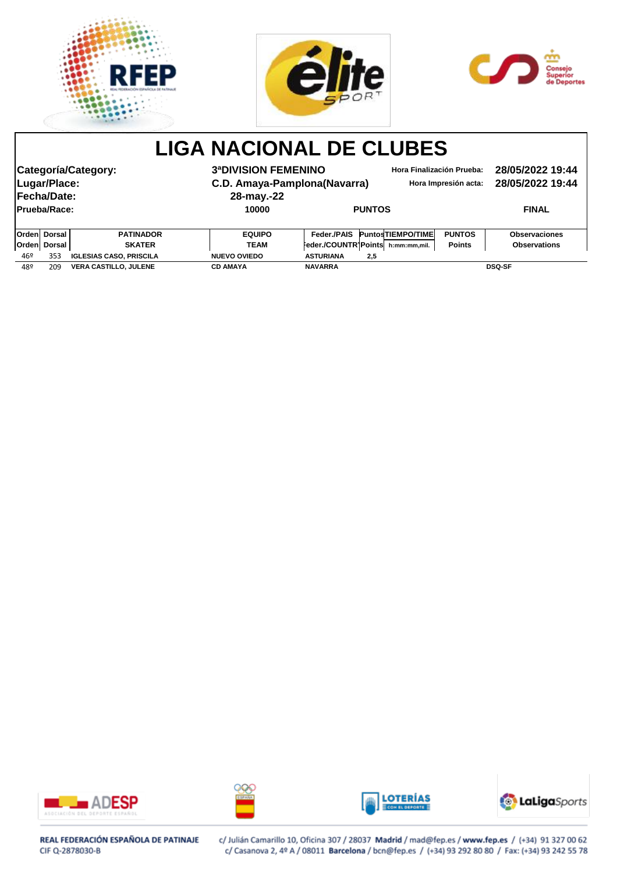





|              | Lugar/Place:<br><b>Fecha/Date:</b> | Categoría/Category:            | <b>3ªDIVISION FEMENINO</b><br>C.D. Amaya-Pamplona(Navarra)<br>28-may.-22 |                         | <b>Hora Finalización Prueba:</b> | Hora Impresión acta: | 28/05/2022 19:44<br>28/05/2022 19:44 |
|--------------|------------------------------------|--------------------------------|--------------------------------------------------------------------------|-------------------------|----------------------------------|----------------------|--------------------------------------|
|              | <b>Prueba/Race:</b>                |                                | 10000                                                                    | <b>PUNTOS</b>           |                                  |                      | <b>FINAL</b>                         |
|              | <b>Orden</b> Dorsal                | <b>PATINADOR</b>               | <b>EQUIPO</b>                                                            | Feder / PAIS            | <b>PuntosTIEMPO/TIME</b>         | <b>PUNTOS</b>        | <b>Observaciones</b>                 |
| <b>Orden</b> | Dorsal                             | <b>SKATER</b>                  | <b>TEAM</b>                                                              | Feder./COUNTR Points    | h:mm:mm,mil.                     | <b>Points</b>        | <b>Observations</b>                  |
| 46º          | 353                                | <b>IGLESIAS CASO, PRISCILA</b> | <b>NUEVO OVIEDO</b>                                                      | <b>ASTURIANA</b><br>2,5 |                                  |                      |                                      |
| 48º          | 209                                | <b>VERA CASTILLO, JULENE</b>   | <b>CD AMAYA</b>                                                          | <b>NAVARRA</b>          |                                  |                      | <b>DSQ-SF</b>                        |



### REAL FEDERACIÓN ESPAÑOLA DE PATINAJE CIF Q-2878030-B